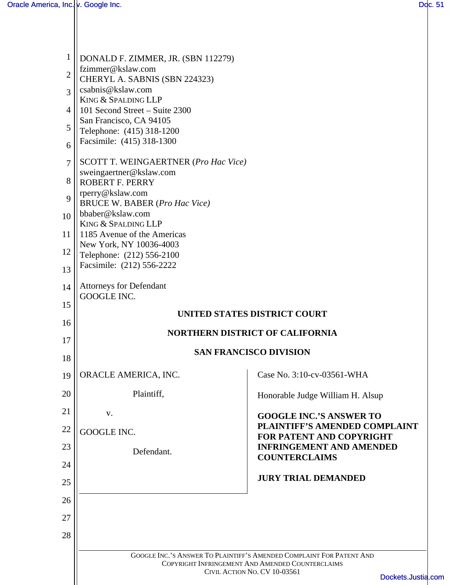| 1              | DONALD F. ZIMMER, JR. (SBN 112279)                       |                                                                                                                          |  |  |  |
|----------------|----------------------------------------------------------|--------------------------------------------------------------------------------------------------------------------------|--|--|--|
| $\overline{2}$ | fzimmer@kslaw.com                                        |                                                                                                                          |  |  |  |
|                | CHERYL A. SABNIS (SBN 224323)<br>csabnis@kslaw.com       |                                                                                                                          |  |  |  |
| $\overline{3}$ | KING & SPALDING LLP                                      |                                                                                                                          |  |  |  |
| 4              | 101 Second Street – Suite 2300                           |                                                                                                                          |  |  |  |
| 5              | San Francisco, CA 94105                                  |                                                                                                                          |  |  |  |
| 6              | Telephone: (415) 318-1200<br>Facsimile: (415) 318-1300   |                                                                                                                          |  |  |  |
| $\overline{7}$ | <b>SCOTT T. WEINGAERTNER (Pro Hac Vice)</b>              |                                                                                                                          |  |  |  |
|                | sweingaertner@kslaw.com                                  |                                                                                                                          |  |  |  |
| 8              | <b>ROBERT F. PERRY</b>                                   |                                                                                                                          |  |  |  |
| 9              | rperry@kslaw.com<br><b>BRUCE W. BABER (Pro Hac Vice)</b> |                                                                                                                          |  |  |  |
| 10             | bbaber@kslaw.com                                         |                                                                                                                          |  |  |  |
|                | KING & SPALDING LLP                                      |                                                                                                                          |  |  |  |
| 11             | 1185 Avenue of the Americas<br>New York, NY 10036-4003   |                                                                                                                          |  |  |  |
| 12             | Telephone: (212) 556-2100                                |                                                                                                                          |  |  |  |
| 13             | Facsimile: (212) 556-2222                                |                                                                                                                          |  |  |  |
| 14             | <b>Attorneys for Defendant</b>                           |                                                                                                                          |  |  |  |
| 15             | GOOGLE INC.                                              |                                                                                                                          |  |  |  |
| 16             | UNITED STATES DISTRICT COURT                             |                                                                                                                          |  |  |  |
| 17             | <b>NORTHERN DISTRICT OF CALIFORNIA</b>                   |                                                                                                                          |  |  |  |
| 18             |                                                          | <b>SAN FRANCISCO DIVISION</b>                                                                                            |  |  |  |
| 19             | ORACLE AMERICA, INC.                                     | Case No. 3:10-cv-03561-WHA                                                                                               |  |  |  |
| 20             | Plaintiff,                                               | Honorable Judge William H. Alsup                                                                                         |  |  |  |
| 21             | V.                                                       | <b>GOOGLE INC.'S ANSWER TO</b>                                                                                           |  |  |  |
| 22             | <b>GOOGLE INC.</b>                                       | PLAINTIFF'S AMENDED COMPLAINT<br><b>FOR PATENT AND COPYRIGHT</b>                                                         |  |  |  |
| 23             | Defendant.                                               | <b>INFRINGEMENT AND AMENDED</b>                                                                                          |  |  |  |
| 24             |                                                          | <b>COUNTERCLAIMS</b>                                                                                                     |  |  |  |
| 25             |                                                          | <b>JURY TRIAL DEMANDED</b>                                                                                               |  |  |  |
| 26             |                                                          |                                                                                                                          |  |  |  |
| 27             |                                                          |                                                                                                                          |  |  |  |
| 28             |                                                          |                                                                                                                          |  |  |  |
|                |                                                          |                                                                                                                          |  |  |  |
|                |                                                          | GOOGLE INC.'S ANSWER TO PLAINTIFF'S AMENDED COMPLAINT FOR PATENT AND<br>COPYRIGHT INFRINGEMENT AND AMENDED COUNTERCLAIMS |  |  |  |
|                |                                                          | CIVIL ACTION NO. CV 10-03561<br>Dockets.Justia.co                                                                        |  |  |  |
|                |                                                          |                                                                                                                          |  |  |  |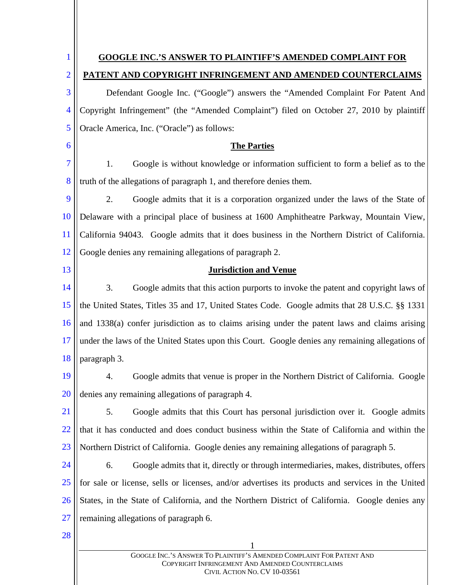1 1 2 3 4 5 6 7 8 9 10 11 12 13 14 15 16 17 18 19 20 21 22 23 24 25 26 27 28 **GOOGLE INC.'S ANSWER TO PLAINTIFF'S AMENDED COMPLAINT FOR PATENT AND COPYRIGHT INFRINGEMENT AND AMENDED COUNTERCLAIMS** Defendant Google Inc. ("Google") answers the "Amended Complaint For Patent And Copyright Infringement" (the "Amended Complaint") filed on October 27, 2010 by plaintiff Oracle America, Inc. ("Oracle") as follows: **The Parties** 1. Google is without knowledge or information sufficient to form a belief as to the truth of the allegations of paragraph 1, and therefore denies them. 2. Google admits that it is a corporation organized under the laws of the State of Delaware with a principal place of business at 1600 Amphitheatre Parkway, Mountain View, California 94043. Google admits that it does business in the Northern District of California. Google denies any remaining allegations of paragraph 2. **Jurisdiction and Venue** 3. Google admits that this action purports to invoke the patent and copyright laws of the United States, Titles 35 and 17, United States Code. Google admits that 28 U.S.C. §§ 1331 and 1338(a) confer jurisdiction as to claims arising under the patent laws and claims arising under the laws of the United States upon this Court. Google denies any remaining allegations of paragraph 3. 4. Google admits that venue is proper in the Northern District of California. Google denies any remaining allegations of paragraph 4. 5. Google admits that this Court has personal jurisdiction over it. Google admits that it has conducted and does conduct business within the State of California and within the Northern District of California. Google denies any remaining allegations of paragraph 5. 6. Google admits that it, directly or through intermediaries, makes, distributes, offers for sale or license, sells or licenses, and/or advertises its products and services in the United States, in the State of California, and the Northern District of California. Google denies any remaining allegations of paragraph 6.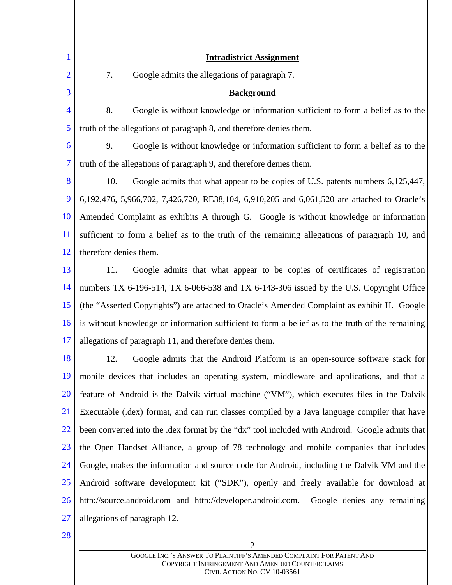| 1              | <b>Intradistrict Assignment</b>                                                                  |  |
|----------------|--------------------------------------------------------------------------------------------------|--|
| $\overline{2}$ | 7.<br>Google admits the allegations of paragraph 7.                                              |  |
| 3              | <b>Background</b>                                                                                |  |
| $\overline{4}$ | 8.<br>Google is without knowledge or information sufficient to form a belief as to the           |  |
| 5              | truth of the allegations of paragraph 8, and therefore denies them.                              |  |
| 6              | 9.<br>Google is without knowledge or information sufficient to form a belief as to the           |  |
| 7              | truth of the allegations of paragraph 9, and therefore denies them.                              |  |
| 8              | 10.<br>Google admits that what appear to be copies of U.S. patents numbers 6,125,447,            |  |
| 9              | 6,192,476, 5,966,702, 7,426,720, RE38,104, 6,910,205 and 6,061,520 are attached to Oracle's      |  |
| 10             | Amended Complaint as exhibits A through G. Google is without knowledge or information            |  |
| 11             | sufficient to form a belief as to the truth of the remaining allegations of paragraph 10, and    |  |
| 12             | therefore denies them.                                                                           |  |
| 13             | 11.<br>Google admits that what appear to be copies of certificates of registration               |  |
| 14             | numbers TX 6-196-514, TX 6-066-538 and TX 6-143-306 issued by the U.S. Copyright Office          |  |
| 15             | (the "Asserted Copyrights") are attached to Oracle's Amended Complaint as exhibit H. Google      |  |
| 16             | is without knowledge or information sufficient to form a belief as to the truth of the remaining |  |
| 17             | allegations of paragraph 11, and therefore denies them.                                          |  |
| 18             | 12.<br>Google admits that the Android Platform is an open-source software stack for              |  |
| 19             | mobile devices that includes an operating system, middleware and applications, and that a        |  |
| 20             | feature of Android is the Dalvik virtual machine ("VM"), which executes files in the Dalvik      |  |
| 21             | Executable (.dex) format, and can run classes compiled by a Java language compiler that have     |  |
| 22             | been converted into the .dex format by the "dx" tool included with Android. Google admits that   |  |
| 23             | the Open Handset Alliance, a group of 78 technology and mobile companies that includes           |  |
| 24             | Google, makes the information and source code for Android, including the Dalvik VM and the       |  |
| 25             | Android software development kit ("SDK"), openly and freely available for download at            |  |
| 26             | http://source.android.com and http://developer.android.com.<br>Google denies any remaining       |  |
| 27             | allegations of paragraph 12.                                                                     |  |
| 28             |                                                                                                  |  |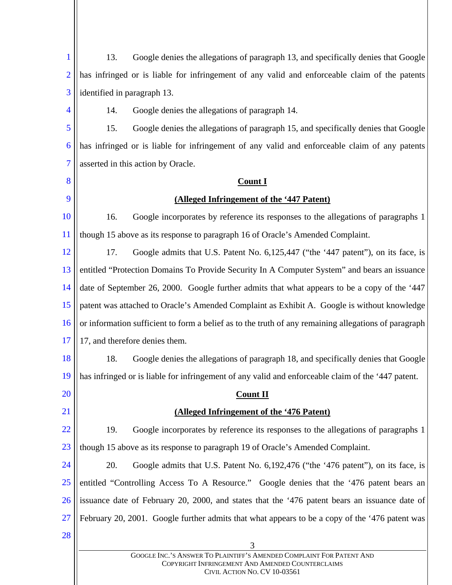3 GOOGLE INC.'S ANSWER TO PLAINTIFF'S AMENDED COMPLAINT FOR PATENT AND COPYRIGHT INFRINGEMENT AND AMENDED COUNTERCLAIMS CIVIL ACTION NO. CV 10-03561 1 2 3 4 5 6 7 8 9 10 11 12 13 14 15 16 17 18 19 20 21 22 23 24 25 26 27 28 13. Google denies the allegations of paragraph 13, and specifically denies that Google has infringed or is liable for infringement of any valid and enforceable claim of the patents identified in paragraph 13. 14. Google denies the allegations of paragraph 14. 15. Google denies the allegations of paragraph 15, and specifically denies that Google has infringed or is liable for infringement of any valid and enforceable claim of any patents asserted in this action by Oracle. **Count I (Alleged Infringement of the '447 Patent)** 16. Google incorporates by reference its responses to the allegations of paragraphs 1 though 15 above as its response to paragraph 16 of Oracle's Amended Complaint. 17. Google admits that U.S. Patent No. 6,125,447 ("the '447 patent"), on its face, is entitled "Protection Domains To Provide Security In A Computer System" and bears an issuance date of September 26, 2000. Google further admits that what appears to be a copy of the '447 patent was attached to Oracle's Amended Complaint as Exhibit A. Google is without knowledge or information sufficient to form a belief as to the truth of any remaining allegations of paragraph 17, and therefore denies them. 18. Google denies the allegations of paragraph 18, and specifically denies that Google has infringed or is liable for infringement of any valid and enforceable claim of the '447 patent. **Count II (Alleged Infringement of the '476 Patent)** 19. Google incorporates by reference its responses to the allegations of paragraphs 1 though 15 above as its response to paragraph 19 of Oracle's Amended Complaint. 20. Google admits that U.S. Patent No. 6,192,476 ("the '476 patent"), on its face, is entitled "Controlling Access To A Resource." Google denies that the '476 patent bears an issuance date of February 20, 2000, and states that the '476 patent bears an issuance date of February 20, 2001. Google further admits that what appears to be a copy of the '476 patent was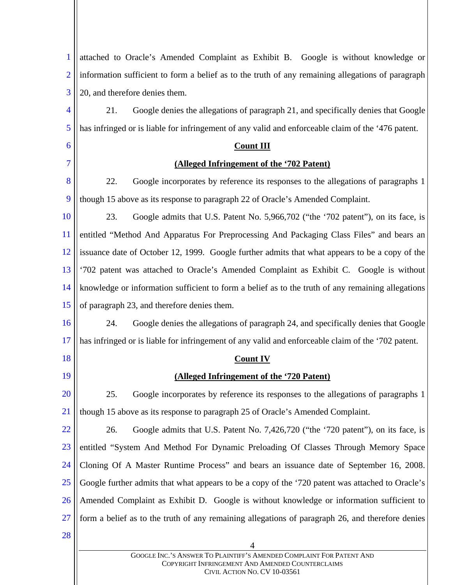| 1              | attached to Oracle's Amended Complaint as Exhibit B. Google is without knowledge or                |  |
|----------------|----------------------------------------------------------------------------------------------------|--|
| $\overline{2}$ | information sufficient to form a belief as to the truth of any remaining allegations of paragraph  |  |
| 3              | 20, and therefore denies them.                                                                     |  |
| 4              | Google denies the allegations of paragraph 21, and specifically denies that Google<br>21.          |  |
| 5              | has infringed or is liable for infringement of any valid and enforceable claim of the '476 patent. |  |
| 6              | <b>Count III</b>                                                                                   |  |
| 7              | (Alleged Infringement of the '702 Patent)                                                          |  |
| 8              | 22.<br>Google incorporates by reference its responses to the allegations of paragraphs 1           |  |
| 9              | though 15 above as its response to paragraph 22 of Oracle's Amended Complaint.                     |  |
| <b>10</b>      | 23.<br>Google admits that U.S. Patent No. 5,966,702 ("the '702 patent"), on its face, is           |  |
| <sup>11</sup>  | entitled "Method And Apparatus For Preprocessing And Packaging Class Files" and bears an           |  |
| 12             | issuance date of October 12, 1999. Google further admits that what appears to be a copy of the     |  |
| 13             | '702 patent was attached to Oracle's Amended Complaint as Exhibit C. Google is without             |  |
| 14             | knowledge or information sufficient to form a belief as to the truth of any remaining allegations  |  |
| 15             | of paragraph 23, and therefore denies them.                                                        |  |
| 16             | Google denies the allegations of paragraph 24, and specifically denies that Google<br>24.          |  |
| 17             | has infringed or is liable for infringement of any valid and enforceable claim of the '702 patent. |  |
| 18             | <b>Count IV</b>                                                                                    |  |
| 19             | (Alleged Infringement of the '720 Patent)                                                          |  |
| 20             | Google incorporates by reference its responses to the allegations of paragraphs 1<br>25.           |  |
| 21             | though 15 above as its response to paragraph 25 of Oracle's Amended Complaint.                     |  |
| <u>22</u>      | 26.<br>Google admits that U.S. Patent No. 7,426,720 ("the '720 patent"), on its face, is           |  |
| 23             | entitled "System And Method For Dynamic Preloading Of Classes Through Memory Space                 |  |
| 24             | Cloning Of A Master Runtime Process" and bears an issuance date of September 16, 2008.             |  |
| <b>25</b>      | Google further admits that what appears to be a copy of the '720 patent was attached to Oracle's   |  |
| 26             | Amended Complaint as Exhibit D. Google is without knowledge or information sufficient to           |  |
| 27             | form a belief as to the truth of any remaining allegations of paragraph 26, and therefore denies   |  |
| 28             | 4                                                                                                  |  |
|                | GOOGLE INC.'S ANSWER TO PLAINTIFF'S AMENDED COMPLAINT FOR PATENT AND                               |  |
|                | COPYRIGHT INFRINGEMENT AND AMENDED COUNTERCLAIMS                                                   |  |

CIVIL ACTION NO. CV 10-03561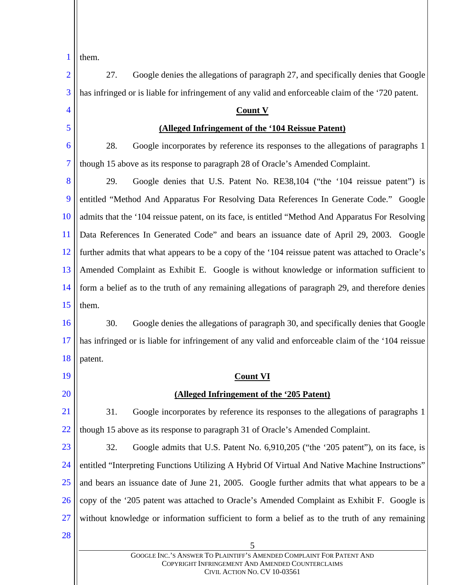1 them.

5 GOOGLE INC.'S ANSWER TO PLAINTIFF'S AMENDED COMPLAINT FOR PATENT AND COPYRIGHT INFRINGEMENT AND AMENDED COUNTERCLAIMS 2 3 4 5 6 7 8 9 10 11 12 13 14 15 16 17 18 19 20 21 22 23 24 25 26 27 28 27. Google denies the allegations of paragraph 27, and specifically denies that Google has infringed or is liable for infringement of any valid and enforceable claim of the '720 patent. **Count V (Alleged Infringement of the '104 Reissue Patent)** 28. Google incorporates by reference its responses to the allegations of paragraphs 1 though 15 above as its response to paragraph 28 of Oracle's Amended Complaint. 29. Google denies that U.S. Patent No. RE38,104 ("the '104 reissue patent") is entitled "Method And Apparatus For Resolving Data References In Generate Code." Google admits that the '104 reissue patent, on its face, is entitled "Method And Apparatus For Resolving Data References In Generated Code" and bears an issuance date of April 29, 2003. Google further admits that what appears to be a copy of the '104 reissue patent was attached to Oracle's Amended Complaint as Exhibit E. Google is without knowledge or information sufficient to form a belief as to the truth of any remaining allegations of paragraph 29, and therefore denies them. 30. Google denies the allegations of paragraph 30, and specifically denies that Google has infringed or is liable for infringement of any valid and enforceable claim of the '104 reissue patent. **Count VI (Alleged Infringement of the '205 Patent)** 31. Google incorporates by reference its responses to the allegations of paragraphs 1 though 15 above as its response to paragraph 31 of Oracle's Amended Complaint. 32. Google admits that U.S. Patent No. 6,910,205 ("the '205 patent"), on its face, is entitled "Interpreting Functions Utilizing A Hybrid Of Virtual And Native Machine Instructions" and bears an issuance date of June 21, 2005. Google further admits that what appears to be a copy of the '205 patent was attached to Oracle's Amended Complaint as Exhibit F. Google is without knowledge or information sufficient to form a belief as to the truth of any remaining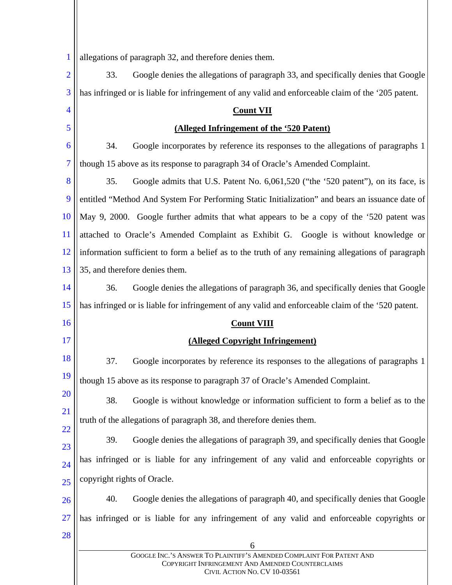1 allegations of paragraph 32, and therefore denies them.

| $\overline{2}$ | 33.                         | Google denies the allegations of paragraph 33, and specifically denies that Google                 |  |  |
|----------------|-----------------------------|----------------------------------------------------------------------------------------------------|--|--|
| 3              |                             | has infringed or is liable for infringement of any valid and enforceable claim of the '205 patent. |  |  |
| 4              | <b>Count VII</b>            |                                                                                                    |  |  |
| 5              |                             | (Alleged Infringement of the '520 Patent)                                                          |  |  |
| 6              | 34.                         | Google incorporates by reference its responses to the allegations of paragraphs 1                  |  |  |
| 7              |                             | though 15 above as its response to paragraph 34 of Oracle's Amended Complaint.                     |  |  |
| 8              | 35.                         | Google admits that U.S. Patent No. 6,061,520 ("the '520 patent"), on its face, is                  |  |  |
| 9              |                             | entitled "Method And System For Performing Static Initialization" and bears an issuance date of    |  |  |
| 10             |                             | May 9, 2000. Google further admits that what appears to be a copy of the '520 patent was           |  |  |
| 11             |                             | attached to Oracle's Amended Complaint as Exhibit G. Google is without knowledge or                |  |  |
| 12             |                             | information sufficient to form a belief as to the truth of any remaining allegations of paragraph  |  |  |
| 13             |                             | 35, and therefore denies them.                                                                     |  |  |
| 14             | 36.                         | Google denies the allegations of paragraph 36, and specifically denies that Google                 |  |  |
| 15             |                             | has infringed or is liable for infringement of any valid and enforceable claim of the '520 patent. |  |  |
| 16             |                             | <b>Count VIII</b>                                                                                  |  |  |
| 17             |                             | (Alleged Copyright Infringement)                                                                   |  |  |
|                |                             |                                                                                                    |  |  |
| 18             | 37.                         | Google incorporates by reference its responses to the allegations of paragraphs 1                  |  |  |
| 19             |                             | though 15 above as its response to paragraph 37 of Oracle's Amended Complaint.                     |  |  |
| 20             | 38.                         | Google is without knowledge or information sufficient to form a belief as to the                   |  |  |
| 21             |                             | truth of the allegations of paragraph 38, and therefore denies them.                               |  |  |
| 22             | 39.                         | Google denies the allegations of paragraph 39, and specifically denies that Google                 |  |  |
| 23<br>24       |                             | has infringed or is liable for any infringement of any valid and enforceable copyrights or         |  |  |
| 25             | copyright rights of Oracle. |                                                                                                    |  |  |
| 26             | 40.                         | Google denies the allegations of paragraph 40, and specifically denies that Google                 |  |  |
| 27             |                             | has infringed or is liable for any infringement of any valid and enforceable copyrights or         |  |  |
| 28             |                             | 6                                                                                                  |  |  |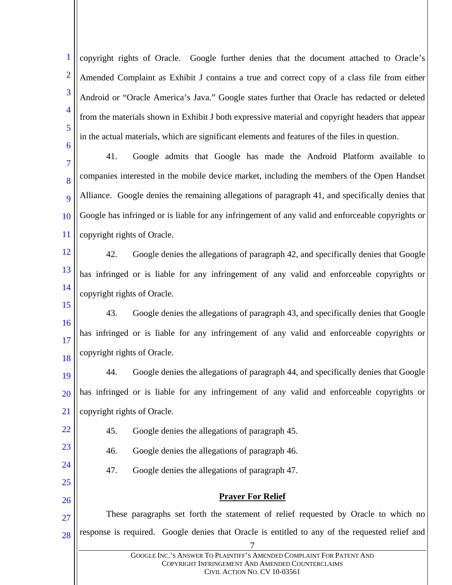1 2 3 4 5 6 copyright rights of Oracle. Google further denies that the document attached to Oracle's Amended Complaint as Exhibit J contains a true and correct copy of a class file from either Android or "Oracle America's Java." Google states further that Oracle has redacted or deleted from the materials shown in Exhibit J both expressive material and copyright headers that appear in the actual materials, which are significant elements and features of the files in question.

7 8  $\overline{Q}$ 10 11 41. Google admits that Google has made the Android Platform available to companies interested in the mobile device market, including the members of the Open Handset Alliance. Google denies the remaining allegations of paragraph 41, and specifically denies that Google has infringed or is liable for any infringement of any valid and enforceable copyrights or copyright rights of Oracle.

12

22

23

24

25

26

13 14 42. Google denies the allegations of paragraph 42, and specifically denies that Google has infringed or is liable for any infringement of any valid and enforceable copyrights or copyright rights of Oracle.

15 16 17 18 43. Google denies the allegations of paragraph 43, and specifically denies that Google has infringed or is liable for any infringement of any valid and enforceable copyrights or copyright rights of Oracle.

19 20 21 44. Google denies the allegations of paragraph 44, and specifically denies that Google has infringed or is liable for any infringement of any valid and enforceable copyrights or copyright rights of Oracle.

45. Google denies the allegations of paragraph 45.

46. Google denies the allegations of paragraph 46.

47. Google denies the allegations of paragraph 47.

# **Prayer For Relief**

7 27 28 These paragraphs set forth the statement of relief requested by Oracle to which no response is required. Google denies that Oracle is entitled to any of the requested relief and

> GOOGLE INC.'S ANSWER TO PLAINTIFF'S AMENDED COMPLAINT FOR PATENT AND COPYRIGHT INFRINGEMENT AND AMENDED COUNTERCLAIMS CIVIL ACTION NO. CV 10-03561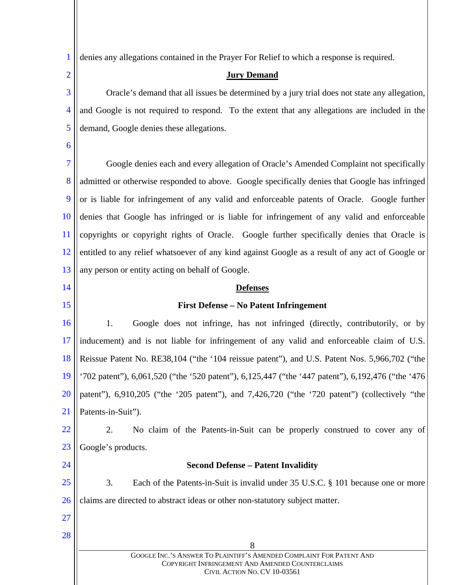1 denies any allegations contained in the Prayer For Relief to which a response is required.

## **Jury Demand**

3 4 5 Oracle's demand that all issues be determined by a jury trial does not state any allegation, and Google is not required to respond. To the extent that any allegations are included in the demand, Google denies these allegations.

6

2

7 8 9 10 11 12 13 Google denies each and every allegation of Oracle's Amended Complaint not specifically admitted or otherwise responded to above. Google specifically denies that Google has infringed or is liable for infringement of any valid and enforceable patents of Oracle. Google further denies that Google has infringed or is liable for infringement of any valid and enforceable copyrights or copyright rights of Oracle. Google further specifically denies that Oracle is entitled to any relief whatsoever of any kind against Google as a result of any act of Google or any person or entity acting on behalf of Google.

- 14
- 15

## **Defenses**

## **First Defense – No Patent Infringement**

16 17 18 19 20 21 1. Google does not infringe, has not infringed (directly, contributorily, or by inducement) and is not liable for infringement of any valid and enforceable claim of U.S. Reissue Patent No. RE38,104 ("the '104 reissue patent"), and U.S. Patent Nos. 5,966,702 ("the '702 patent"), 6,061,520 ("the '520 patent"), 6,125,447 ("the '447 patent"), 6,192,476 ("the '476 patent"), 6,910,205 ("the '205 patent"), and 7,426,720 ("the '720 patent") (collectively "the Patents-in-Suit").

22 23 2. No claim of the Patents-in-Suit can be properly construed to cover any of Google's products.

24

## **Second Defense – Patent Invalidity**

25 26 3. Each of the Patents-in-Suit is invalid under 35 U.S.C. § 101 because one or more claims are directed to abstract ideas or other non-statutory subject matter.

27

28

GOOGLE INC.'S ANSWER TO PLAINTIFF'S AMENDED COMPLAINT FOR PATENT AND COPYRIGHT INFRINGEMENT AND AMENDED COUNTERCLAIMS CIVIL ACTION NO. CV 10-03561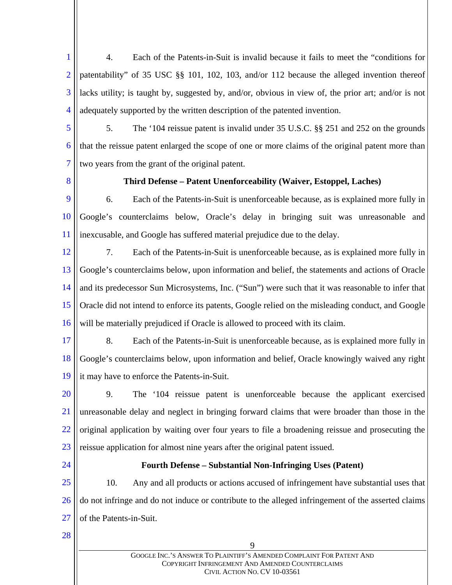1 2 3 4 4. Each of the Patents-in-Suit is invalid because it fails to meet the "conditions for patentability" of 35 USC §§ 101, 102, 103, and/or 112 because the alleged invention thereof lacks utility; is taught by, suggested by, and/or, obvious in view of, the prior art; and/or is not adequately supported by the written description of the patented invention.

- 5 6 7 5. The '104 reissue patent is invalid under 35 U.S.C. §§ 251 and 252 on the grounds that the reissue patent enlarged the scope of one or more claims of the original patent more than two years from the grant of the original patent.
- 8

## **Third Defense – Patent Unenforceability (Waiver, Estoppel, Laches)**

- 9 10 11 6. Each of the Patents-in-Suit is unenforceable because, as is explained more fully in Google's counterclaims below, Oracle's delay in bringing suit was unreasonable and inexcusable, and Google has suffered material prejudice due to the delay.
- 12 13 14 15 16 7. Each of the Patents-in-Suit is unenforceable because, as is explained more fully in Google's counterclaims below, upon information and belief, the statements and actions of Oracle and its predecessor Sun Microsystems, Inc. ("Sun") were such that it was reasonable to infer that Oracle did not intend to enforce its patents, Google relied on the misleading conduct, and Google will be materially prejudiced if Oracle is allowed to proceed with its claim.
- 17 18 19 8. Each of the Patents-in-Suit is unenforceable because, as is explained more fully in Google's counterclaims below, upon information and belief, Oracle knowingly waived any right it may have to enforce the Patents-in-Suit.
- 20 21 22 23 9. The '104 reissue patent is unenforceable because the applicant exercised unreasonable delay and neglect in bringing forward claims that were broader than those in the original application by waiting over four years to file a broadening reissue and prosecuting the reissue application for almost nine years after the original patent issued.
- 24

## **Fourth Defense – Substantial Non-Infringing Uses (Patent)**

25 26 27 10. Any and all products or actions accused of infringement have substantial uses that do not infringe and do not induce or contribute to the alleged infringement of the asserted claims of the Patents-in-Suit.

28

GOOGLE INC.'S ANSWER TO PLAINTIFF'S AMENDED COMPLAINT FOR PATENT AND COPYRIGHT INFRINGEMENT AND AMENDED COUNTERCLAIMS CIVIL ACTION NO. CV 10-03561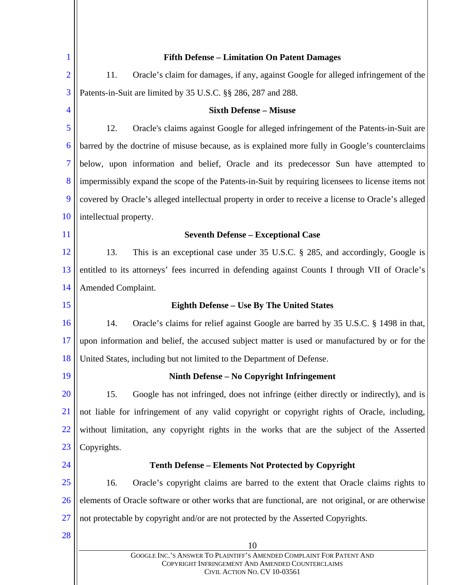| 1              | <b>Fifth Defense - Limitation On Patent Damages</b>                                                                                                      |  |  |
|----------------|----------------------------------------------------------------------------------------------------------------------------------------------------------|--|--|
| $\overline{2}$ | 11.<br>Oracle's claim for damages, if any, against Google for alleged infringement of the                                                                |  |  |
| 3              | Patents-in-Suit are limited by 35 U.S.C. §§ 286, 287 and 288.                                                                                            |  |  |
| 4              | <b>Sixth Defense - Misuse</b>                                                                                                                            |  |  |
| 5              | 12.<br>Oracle's claims against Google for alleged infringement of the Patents-in-Suit are                                                                |  |  |
| 6              | barred by the doctrine of misuse because, as is explained more fully in Google's counterclaims                                                           |  |  |
| $\overline{7}$ | below, upon information and belief, Oracle and its predecessor Sun have attempted to                                                                     |  |  |
| 8              | impermissibly expand the scope of the Patents-in-Suit by requiring licenses to license items not                                                         |  |  |
| 9              | covered by Oracle's alleged intellectual property in order to receive a license to Oracle's alleged                                                      |  |  |
| 10             | intellectual property.                                                                                                                                   |  |  |
| 11             | <b>Seventh Defense - Exceptional Case</b>                                                                                                                |  |  |
| 12             | 13.<br>This is an exceptional case under 35 U.S.C. § 285, and accordingly, Google is                                                                     |  |  |
| 13             | entitled to its attorneys' fees incurred in defending against Counts I through VII of Oracle's                                                           |  |  |
| 14             | Amended Complaint.                                                                                                                                       |  |  |
| 15             | <b>Eighth Defense – Use By The United States</b>                                                                                                         |  |  |
| 16             | 14.<br>Oracle's claims for relief against Google are barred by 35 U.S.C. § 1498 in that,                                                                 |  |  |
| 17             | upon information and belief, the accused subject matter is used or manufactured by or for the                                                            |  |  |
| 18             | United States, including but not limited to the Department of Defense.                                                                                   |  |  |
| 19             | Ninth Defense – No Copyright Infringement                                                                                                                |  |  |
| <b>20</b>      | Google has not infringed, does not infringe (either directly or indirectly), and is<br>15.                                                               |  |  |
| 21             | not liable for infringement of any valid copyright or copyright rights of Oracle, including,                                                             |  |  |
| 22             | without limitation, any copyright rights in the works that are the subject of the Asserted                                                               |  |  |
| 23             | Copyrights.                                                                                                                                              |  |  |
| 24             | <b>Tenth Defense – Elements Not Protected by Copyright</b>                                                                                               |  |  |
| <u>25</u>      | 16.<br>Oracle's copyright claims are barred to the extent that Oracle claims rights to                                                                   |  |  |
| 26             | elements of Oracle software or other works that are functional, are not original, or are otherwise                                                       |  |  |
| 27             | not protectable by copyright and/or are not protected by the Asserted Copyrights.                                                                        |  |  |
| 28             | 10                                                                                                                                                       |  |  |
|                | GOOGLE INC.'S ANSWER TO PLAINTIFF'S AMENDED COMPLAINT FOR PATENT AND<br>COPYRIGHT INFRINGEMENT AND AMENDED COUNTERCLAIMS<br>CIVIL ACTION NO. CV 10-03561 |  |  |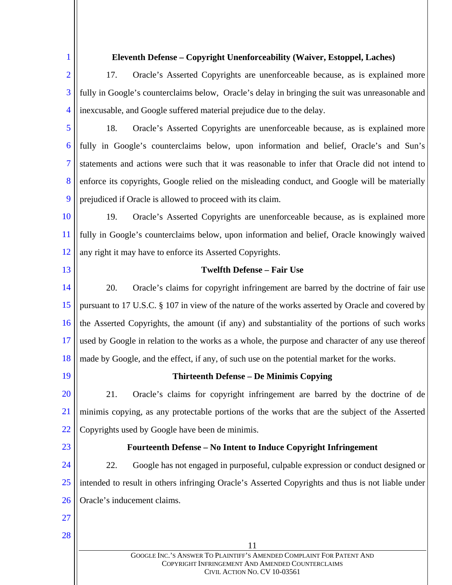| 1              | Eleventh Defense - Copyright Unenforceability (Waiver, Estoppel, Laches)                          |  |  |
|----------------|---------------------------------------------------------------------------------------------------|--|--|
| $\overline{2}$ | 17.<br>Oracle's Asserted Copyrights are unenforceable because, as is explained more               |  |  |
| 3              | fully in Google's counterclaims below, Oracle's delay in bringing the suit was unreasonable and   |  |  |
| 4              | inexcusable, and Google suffered material prejudice due to the delay.                             |  |  |
| 5              | 18.<br>Oracle's Asserted Copyrights are unenforceable because, as is explained more               |  |  |
| 6              | fully in Google's counterclaims below, upon information and belief, Oracle's and Sun's            |  |  |
| 7              | statements and actions were such that it was reasonable to infer that Oracle did not intend to    |  |  |
| 8              | enforce its copyrights, Google relied on the misleading conduct, and Google will be materially    |  |  |
| 9              | prejudiced if Oracle is allowed to proceed with its claim.                                        |  |  |
| 10             | 19.<br>Oracle's Asserted Copyrights are unenforceable because, as is explained more               |  |  |
| 11             | fully in Google's counterclaims below, upon information and belief, Oracle knowingly waived       |  |  |
| 12             | any right it may have to enforce its Asserted Copyrights.                                         |  |  |
| 13             | <b>Twelfth Defense - Fair Use</b>                                                                 |  |  |
| 14             | 20.<br>Oracle's claims for copyright infringement are barred by the doctrine of fair use          |  |  |
| 15             | pursuant to 17 U.S.C. § 107 in view of the nature of the works asserted by Oracle and covered by  |  |  |
| 16             | the Asserted Copyrights, the amount (if any) and substantiality of the portions of such works     |  |  |
| 17             | used by Google in relation to the works as a whole, the purpose and character of any use thereof  |  |  |
| 18             | made by Google, and the effect, if any, of such use on the potential market for the works.        |  |  |
| 19             | <b>Thirteenth Defense – De Minimis Copying</b>                                                    |  |  |
| 20             | Oracle's claims for copyright infringement are barred by the doctrine of de<br>21.                |  |  |
| 21             | minimis copying, as any protectable portions of the works that are the subject of the Asserted    |  |  |
| 22             | Copyrights used by Google have been de minimis.                                                   |  |  |
| 23             | Fourteenth Defense – No Intent to Induce Copyright Infringement                                   |  |  |
| 24             | 22.<br>Google has not engaged in purposeful, culpable expression or conduct designed or           |  |  |
| 25             | intended to result in others infringing Oracle's Asserted Copyrights and thus is not liable under |  |  |
| 26             | Oracle's inducement claims.                                                                       |  |  |
| 27             |                                                                                                   |  |  |
| 28             | 11                                                                                                |  |  |
|                | GOOGLE INC.'S ANSWER TO PLAINTIFF'S AMENDED COMPLAINT FOR PATENT AND                              |  |  |
|                | COPYRIGHT INFRINGEMENT AND AMENDED COUNTERCLAIMS                                                  |  |  |

CIVIL ACTION NO. CV 10-03561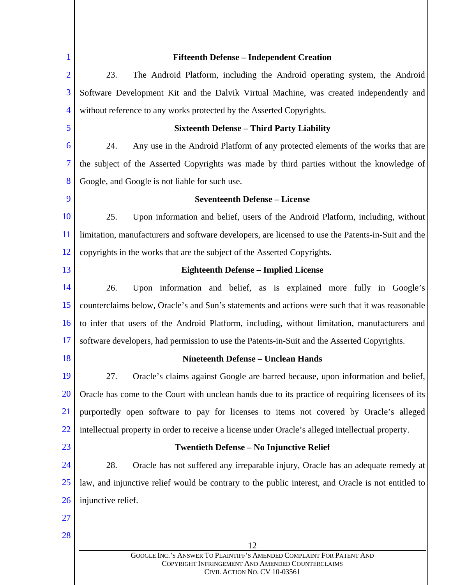| 1              | <b>Fifteenth Defense - Independent Creation</b>                                                                                                          |  |  |
|----------------|----------------------------------------------------------------------------------------------------------------------------------------------------------|--|--|
| $\overline{2}$ | 23.<br>The Android Platform, including the Android operating system, the Android                                                                         |  |  |
| 3              | Software Development Kit and the Dalvik Virtual Machine, was created independently and                                                                   |  |  |
| 4              | without reference to any works protected by the Asserted Copyrights.                                                                                     |  |  |
| 5              | <b>Sixteenth Defense - Third Party Liability</b>                                                                                                         |  |  |
| 6              | Any use in the Android Platform of any protected elements of the works that are<br>24.                                                                   |  |  |
| 7              | the subject of the Asserted Copyrights was made by third parties without the knowledge of                                                                |  |  |
| 8              | Google, and Google is not liable for such use.                                                                                                           |  |  |
| 9              | <b>Seventeenth Defense - License</b>                                                                                                                     |  |  |
| 10             | 25.<br>Upon information and belief, users of the Android Platform, including, without                                                                    |  |  |
| <sup>11</sup>  | limitation, manufacturers and software developers, are licensed to use the Patents-in-Suit and the                                                       |  |  |
| <sup>12</sup>  | copyrights in the works that are the subject of the Asserted Copyrights.                                                                                 |  |  |
| 13             | <b>Eighteenth Defense - Implied License</b>                                                                                                              |  |  |
| 14             | Upon information and belief, as is explained more fully in Google's<br>26.                                                                               |  |  |
| 15             | counterclaims below, Oracle's and Sun's statements and actions were such that it was reasonable                                                          |  |  |
| 16             | to infer that users of the Android Platform, including, without limitation, manufacturers and                                                            |  |  |
| 17             | software developers, had permission to use the Patents-in-Suit and the Asserted Copyrights.                                                              |  |  |
| 18             | <b>Nineteenth Defense - Unclean Hands</b>                                                                                                                |  |  |
| 19             | Oracle's claims against Google are barred because, upon information and belief,<br>27.                                                                   |  |  |
| 20             | Oracle has come to the Court with unclean hands due to its practice of requiring licensees of its                                                        |  |  |
| 21             | purportedly open software to pay for licenses to items not covered by Oracle's alleged                                                                   |  |  |
| 22             | intellectual property in order to receive a license under Oracle's alleged intellectual property.                                                        |  |  |
| 23             | Twentieth Defense - No Injunctive Relief                                                                                                                 |  |  |
| 24             | 28.<br>Oracle has not suffered any irreparable injury, Oracle has an adequate remedy at                                                                  |  |  |
| 25             | law, and injunctive relief would be contrary to the public interest, and Oracle is not entitled to                                                       |  |  |
| 26             | injunctive relief.                                                                                                                                       |  |  |
| 27             |                                                                                                                                                          |  |  |
| 28             | 12                                                                                                                                                       |  |  |
|                | GOOGLE INC.'S ANSWER TO PLAINTIFF'S AMENDED COMPLAINT FOR PATENT AND<br>COPYRIGHT INFRINGEMENT AND AMENDED COUNTERCLAIMS<br>CIVIL ACTION NO. CV 10-03561 |  |  |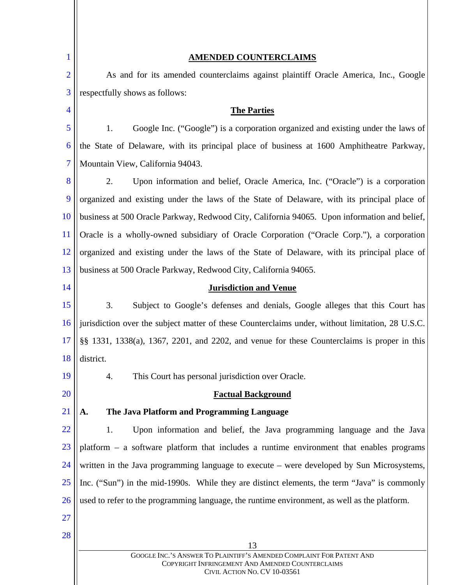| $\mathbf 1$    | <b>AMENDED COUNTERCLAIMS</b>                                                                                                                                   |  |  |
|----------------|----------------------------------------------------------------------------------------------------------------------------------------------------------------|--|--|
| $\overline{2}$ | As and for its amended counterclaims against plaintiff Oracle America, Inc., Google                                                                            |  |  |
| 3              | respectfully shows as follows:                                                                                                                                 |  |  |
| 4              | <b>The Parties</b>                                                                                                                                             |  |  |
| 5              | Google Inc. ("Google") is a corporation organized and existing under the laws of<br>1.                                                                         |  |  |
| 6              | the State of Delaware, with its principal place of business at 1600 Amphitheatre Parkway,                                                                      |  |  |
| 7              | Mountain View, California 94043.                                                                                                                               |  |  |
| 8              | Upon information and belief, Oracle America, Inc. ("Oracle") is a corporation<br>2.                                                                            |  |  |
| 9              | organized and existing under the laws of the State of Delaware, with its principal place of                                                                    |  |  |
| 10             | business at 500 Oracle Parkway, Redwood City, California 94065. Upon information and belief,                                                                   |  |  |
| <sup>11</sup>  | Oracle is a wholly-owned subsidiary of Oracle Corporation ("Oracle Corp."), a corporation                                                                      |  |  |
| <sup>12</sup>  | organized and existing under the laws of the State of Delaware, with its principal place of                                                                    |  |  |
| 13             | business at 500 Oracle Parkway, Redwood City, California 94065.                                                                                                |  |  |
| 14             | <b>Jurisdiction and Venue</b>                                                                                                                                  |  |  |
| 15             | 3.<br>Subject to Google's defenses and denials, Google alleges that this Court has                                                                             |  |  |
| 16             | jurisdiction over the subject matter of these Counterclaims under, without limitation, 28 U.S.C.                                                               |  |  |
| 17             | $\S$ § 1331, 1338(a), 1367, 2201, and 2202, and venue for these Counterclaims is proper in this                                                                |  |  |
| 18             | district.                                                                                                                                                      |  |  |
| 19             | This Court has personal jurisdiction over Oracle.<br>4.                                                                                                        |  |  |
| 20             | <b>Factual Background</b>                                                                                                                                      |  |  |
| 21             | The Java Platform and Programming Language<br>A.                                                                                                               |  |  |
| 22             | Upon information and belief, the Java programming language and the Java<br>1.                                                                                  |  |  |
| 23             | platform – a software platform that includes a runtime environment that enables programs                                                                       |  |  |
| 24             | written in the Java programming language to execute – were developed by Sun Microsystems,                                                                      |  |  |
| 25             | Inc. ("Sun") in the mid-1990s. While they are distinct elements, the term "Java" is commonly                                                                   |  |  |
| 26             | used to refer to the programming language, the runtime environment, as well as the platform.                                                                   |  |  |
| 27             |                                                                                                                                                                |  |  |
| 28             |                                                                                                                                                                |  |  |
|                | 13<br>GOOGLE INC.'S ANSWER TO PLAINTIFF'S AMENDED COMPLAINT FOR PATENT AND<br>COPYRIGHT INFRINGEMENT AND AMENDED COUNTERCLAIMS<br>CIVIL ACTION NO. CV 10-03561 |  |  |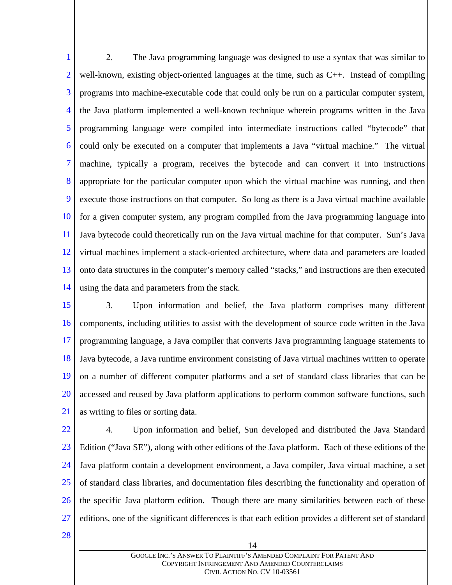1 2 3 4 5 6 7 8 9 10 11 12 13 14 2. The Java programming language was designed to use a syntax that was similar to well-known, existing object-oriented languages at the time, such as C++. Instead of compiling programs into machine-executable code that could only be run on a particular computer system, the Java platform implemented a well-known technique wherein programs written in the Java programming language were compiled into intermediate instructions called "bytecode" that could only be executed on a computer that implements a Java "virtual machine." The virtual machine, typically a program, receives the bytecode and can convert it into instructions appropriate for the particular computer upon which the virtual machine was running, and then execute those instructions on that computer. So long as there is a Java virtual machine available for a given computer system, any program compiled from the Java programming language into Java bytecode could theoretically run on the Java virtual machine for that computer. Sun's Java virtual machines implement a stack-oriented architecture, where data and parameters are loaded onto data structures in the computer's memory called "stacks," and instructions are then executed using the data and parameters from the stack.

15 16 17 18 19 20 21 3. Upon information and belief, the Java platform comprises many different components, including utilities to assist with the development of source code written in the Java programming language, a Java compiler that converts Java programming language statements to Java bytecode, a Java runtime environment consisting of Java virtual machines written to operate on a number of different computer platforms and a set of standard class libraries that can be accessed and reused by Java platform applications to perform common software functions, such as writing to files or sorting data.

22 23 24 25 26 27 4. Upon information and belief, Sun developed and distributed the Java Standard Edition ("Java SE"), along with other editions of the Java platform. Each of these editions of the Java platform contain a development environment, a Java compiler, Java virtual machine, a set of standard class libraries, and documentation files describing the functionality and operation of the specific Java platform edition. Though there are many similarities between each of these editions, one of the significant differences is that each edition provides a different set of standard

28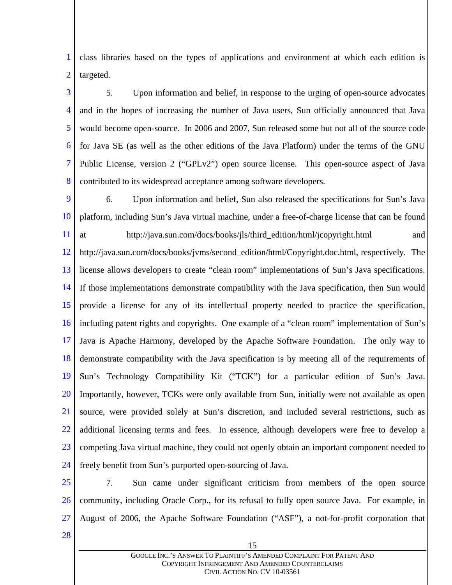1 2 class libraries based on the types of applications and environment at which each edition is targeted.

3 4 5 6 7 8 5. Upon information and belief, in response to the urging of open-source advocates and in the hopes of increasing the number of Java users, Sun officially announced that Java would become open-source. In 2006 and 2007, Sun released some but not all of the source code for Java SE (as well as the other editions of the Java Platform) under the terms of the GNU Public License, version 2 ("GPLv2") open source license. This open-source aspect of Java contributed to its widespread acceptance among software developers.

9 10 11 12 13 14 15 16 17 18 19 20 21 22 23 24 6. Upon information and belief, Sun also released the specifications for Sun's Java platform, including Sun's Java virtual machine, under a free-of-charge license that can be found at http://java.sun.com/docs/books/jls/third\_edition/html/jcopyright.html and http://java.sun.com/docs/books/jvms/second\_edition/html/Copyright.doc.html, respectively. The license allows developers to create "clean room" implementations of Sun's Java specifications. If those implementations demonstrate compatibility with the Java specification, then Sun would provide a license for any of its intellectual property needed to practice the specification, including patent rights and copyrights. One example of a "clean room" implementation of Sun's Java is Apache Harmony, developed by the Apache Software Foundation. The only way to demonstrate compatibility with the Java specification is by meeting all of the requirements of Sun's Technology Compatibility Kit ("TCK") for a particular edition of Sun's Java. Importantly, however, TCKs were only available from Sun, initially were not available as open source, were provided solely at Sun's discretion, and included several restrictions, such as additional licensing terms and fees. In essence, although developers were free to develop a competing Java virtual machine, they could not openly obtain an important component needed to freely benefit from Sun's purported open-sourcing of Java.

- 25
- 26
- 27
- 28

15

community, including Oracle Corp., for its refusal to fully open source Java. For example, in

August of 2006, the Apache Software Foundation ("ASF"), a not-for-profit corporation that

7. Sun came under significant criticism from members of the open source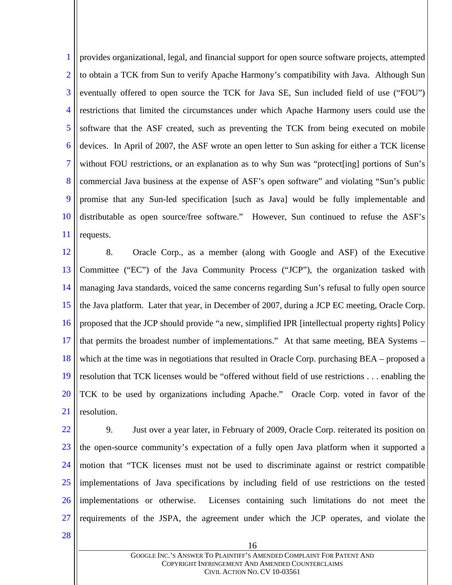1 2 3 4 5 6 7 8 9 10 11 provides organizational, legal, and financial support for open source software projects, attempted to obtain a TCK from Sun to verify Apache Harmony's compatibility with Java. Although Sun eventually offered to open source the TCK for Java SE, Sun included field of use ("FOU") restrictions that limited the circumstances under which Apache Harmony users could use the software that the ASF created, such as preventing the TCK from being executed on mobile devices. In April of 2007, the ASF wrote an open letter to Sun asking for either a TCK license without FOU restrictions, or an explanation as to why Sun was "protect[ing] portions of Sun's commercial Java business at the expense of ASF's open software" and violating "Sun's public promise that any Sun-led specification [such as Java] would be fully implementable and distributable as open source/free software." However, Sun continued to refuse the ASF's requests.

12 13 14 15 16 17 18 19 20 21 8. Oracle Corp., as a member (along with Google and ASF) of the Executive Committee ("EC") of the Java Community Process ("JCP"), the organization tasked with managing Java standards, voiced the same concerns regarding Sun's refusal to fully open source the Java platform. Later that year, in December of 2007, during a JCP EC meeting, Oracle Corp. proposed that the JCP should provide "a new, simplified IPR [intellectual property rights] Policy that permits the broadest number of implementations." At that same meeting, BEA Systems – which at the time was in negotiations that resulted in Oracle Corp. purchasing BEA – proposed a resolution that TCK licenses would be "offered without field of use restrictions . . . enabling the TCK to be used by organizations including Apache." Oracle Corp. voted in favor of the resolution.

22 23 24 25 26 27 9. Just over a year later, in February of 2009, Oracle Corp. reiterated its position on the open-source community's expectation of a fully open Java platform when it supported a motion that "TCK licenses must not be used to discriminate against or restrict compatible implementations of Java specifications by including field of use restrictions on the tested implementations or otherwise. Licenses containing such limitations do not meet the requirements of the JSPA, the agreement under which the JCP operates, and violate the

28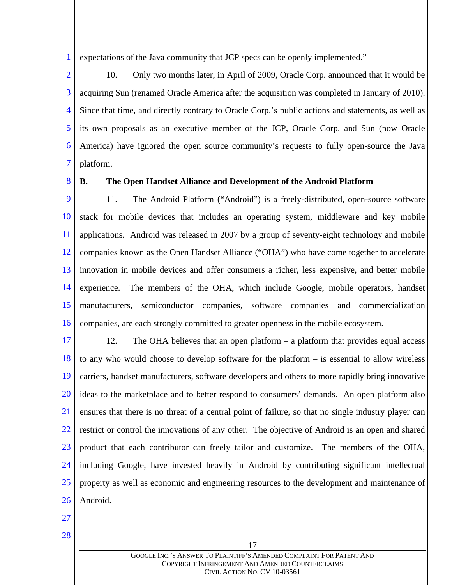1 expectations of the Java community that JCP specs can be openly implemented."

2 3 4 5 6 7 10. Only two months later, in April of 2009, Oracle Corp. announced that it would be acquiring Sun (renamed Oracle America after the acquisition was completed in January of 2010). Since that time, and directly contrary to Oracle Corp.'s public actions and statements, as well as its own proposals as an executive member of the JCP, Oracle Corp. and Sun (now Oracle America) have ignored the open source community's requests to fully open-source the Java platform.

8

#### **B. The Open Handset Alliance and Development of the Android Platform**

9 10 11 12 13 14 15 16 11. The Android Platform ("Android") is a freely-distributed, open-source software stack for mobile devices that includes an operating system, middleware and key mobile applications. Android was released in 2007 by a group of seventy-eight technology and mobile companies known as the Open Handset Alliance ("OHA") who have come together to accelerate innovation in mobile devices and offer consumers a richer, less expensive, and better mobile experience. The members of the OHA, which include Google, mobile operators, handset manufacturers, semiconductor companies, software companies and commercialization companies, are each strongly committed to greater openness in the mobile ecosystem.

17 18 19 20 21 22 23 24 25 26 12. The OHA believes that an open platform – a platform that provides equal access to any who would choose to develop software for the platform – is essential to allow wireless carriers, handset manufacturers, software developers and others to more rapidly bring innovative ideas to the marketplace and to better respond to consumers' demands. An open platform also ensures that there is no threat of a central point of failure, so that no single industry player can restrict or control the innovations of any other. The objective of Android is an open and shared product that each contributor can freely tailor and customize. The members of the OHA, including Google, have invested heavily in Android by contributing significant intellectual property as well as economic and engineering resources to the development and maintenance of Android.

- 27
- 28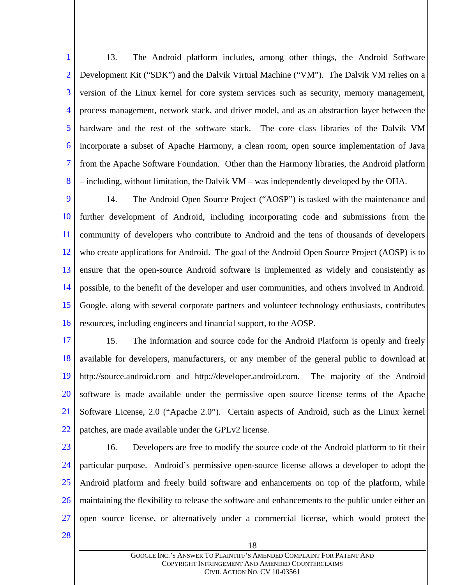1 2 3 4 5 6 7 8 13. The Android platform includes, among other things, the Android Software Development Kit ("SDK") and the Dalvik Virtual Machine ("VM"). The Dalvik VM relies on a version of the Linux kernel for core system services such as security, memory management, process management, network stack, and driver model, and as an abstraction layer between the hardware and the rest of the software stack. The core class libraries of the Dalvik VM incorporate a subset of Apache Harmony, a clean room, open source implementation of Java from the Apache Software Foundation. Other than the Harmony libraries, the Android platform – including, without limitation, the Dalvik VM – was independently developed by the OHA.

9 10 11 12 13 14 15 16 14. The Android Open Source Project ("AOSP") is tasked with the maintenance and further development of Android, including incorporating code and submissions from the community of developers who contribute to Android and the tens of thousands of developers who create applications for Android. The goal of the Android Open Source Project (AOSP) is to ensure that the open-source Android software is implemented as widely and consistently as possible, to the benefit of the developer and user communities, and others involved in Android. Google, along with several corporate partners and volunteer technology enthusiasts, contributes resources, including engineers and financial support, to the AOSP.

17 18 19 20 21 22 15. The information and source code for the Android Platform is openly and freely available for developers, manufacturers, or any member of the general public to download at http://source.android.com and http://developer.android.com. The majority of the Android software is made available under the permissive open source license terms of the Apache Software License, 2.0 ("Apache 2.0"). Certain aspects of Android, such as the Linux kernel patches, are made available under the GPLv2 license.

23

24 25 26 27 16. Developers are free to modify the source code of the Android platform to fit their particular purpose. Android's permissive open-source license allows a developer to adopt the Android platform and freely build software and enhancements on top of the platform, while maintaining the flexibility to release the software and enhancements to the public under either an open source license, or alternatively under a commercial license, which would protect the

28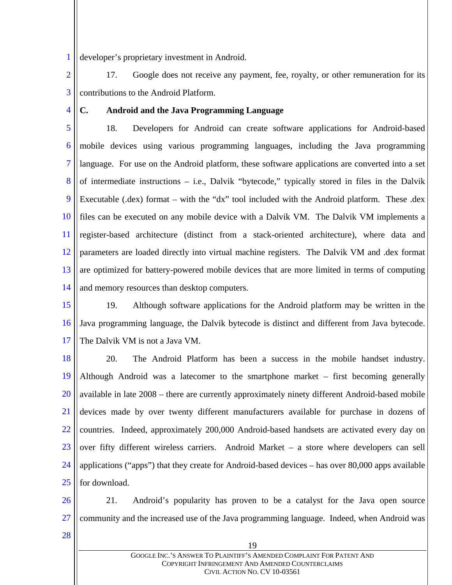1 developer's proprietary investment in Android.

2 3 17. Google does not receive any payment, fee, royalty, or other remuneration for its contributions to the Android Platform.

4

#### **C. Android and the Java Programming Language**

5 6 7 8 9 10 11 12 13 14 18. Developers for Android can create software applications for Android-based mobile devices using various programming languages, including the Java programming language. For use on the Android platform, these software applications are converted into a set of intermediate instructions – i.e., Dalvik "bytecode," typically stored in files in the Dalvik Executable (.dex) format – with the "dx" tool included with the Android platform. These .dex files can be executed on any mobile device with a Dalvik VM. The Dalvik VM implements a register-based architecture (distinct from a stack-oriented architecture), where data and parameters are loaded directly into virtual machine registers. The Dalvik VM and .dex format are optimized for battery-powered mobile devices that are more limited in terms of computing and memory resources than desktop computers.

15 16 17 19. Although software applications for the Android platform may be written in the Java programming language, the Dalvik bytecode is distinct and different from Java bytecode. The Dalvik VM is not a Java VM.

18 19 20 21 22 23 24 25 20. The Android Platform has been a success in the mobile handset industry. Although Android was a latecomer to the smartphone market – first becoming generally available in late 2008 – there are currently approximately ninety different Android-based mobile devices made by over twenty different manufacturers available for purchase in dozens of countries. Indeed, approximately 200,000 Android-based handsets are activated every day on over fifty different wireless carriers. Android Market – a store where developers can sell applications ("apps") that they create for Android-based devices – has over 80,000 apps available for download.

26 27 21. Android's popularity has proven to be a catalyst for the Java open source community and the increased use of the Java programming language. Indeed, when Android was

28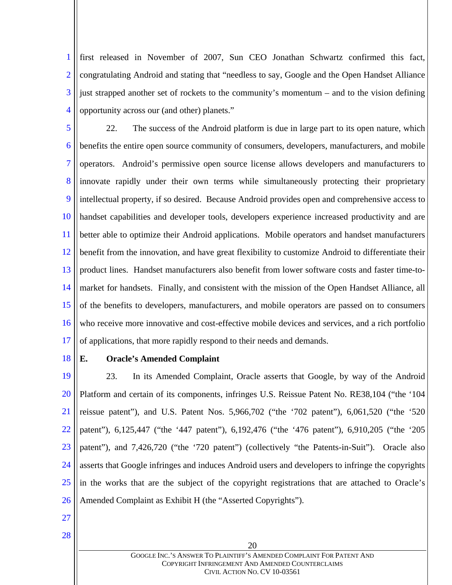1 2 3 4 first released in November of 2007, Sun CEO Jonathan Schwartz confirmed this fact, congratulating Android and stating that "needless to say, Google and the Open Handset Alliance just strapped another set of rockets to the community's momentum – and to the vision defining opportunity across our (and other) planets."

5 6 7 8 9 10 11 12 13 14 15 16 17 22. The success of the Android platform is due in large part to its open nature, which benefits the entire open source community of consumers, developers, manufacturers, and mobile operators. Android's permissive open source license allows developers and manufacturers to innovate rapidly under their own terms while simultaneously protecting their proprietary intellectual property, if so desired. Because Android provides open and comprehensive access to handset capabilities and developer tools, developers experience increased productivity and are better able to optimize their Android applications. Mobile operators and handset manufacturers benefit from the innovation, and have great flexibility to customize Android to differentiate their product lines. Handset manufacturers also benefit from lower software costs and faster time-tomarket for handsets. Finally, and consistent with the mission of the Open Handset Alliance, all of the benefits to developers, manufacturers, and mobile operators are passed on to consumers who receive more innovative and cost-effective mobile devices and services, and a rich portfolio of applications, that more rapidly respond to their needs and demands.

18

## **E. Oracle's Amended Complaint**

19 20 21 22 23 24 25 26 23. In its Amended Complaint, Oracle asserts that Google, by way of the Android Platform and certain of its components, infringes U.S. Reissue Patent No. RE38,104 ("the '104 reissue patent"), and U.S. Patent Nos. 5,966,702 ("the '702 patent"), 6,061,520 ("the '520 patent"), 6,125,447 ("the '447 patent"), 6,192,476 ("the '476 patent"), 6,910,205 ("the '205 patent"), and 7,426,720 ("the '720 patent") (collectively "the Patents-in-Suit"). Oracle also asserts that Google infringes and induces Android users and developers to infringe the copyrights in the works that are the subject of the copyright registrations that are attached to Oracle's Amended Complaint as Exhibit H (the "Asserted Copyrights").

27

28

GOOGLE INC.'S ANSWER TO PLAINTIFF'S AMENDED COMPLAINT FOR PATENT AND COPYRIGHT INFRINGEMENT AND AMENDED COUNTERCLAIMS CIVIL ACTION NO. CV 10-03561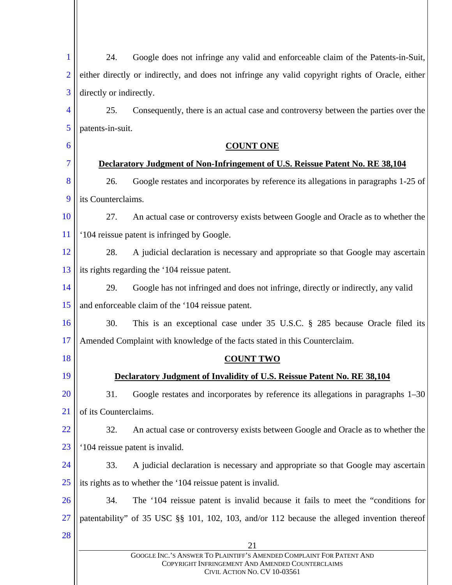| 1              | 24.<br>Google does not infringe any valid and enforceable claim of the Patents-in-Suit,                                                                  |
|----------------|----------------------------------------------------------------------------------------------------------------------------------------------------------|
| $\overline{2}$ | either directly or indirectly, and does not infringe any valid copyright rights of Oracle, either                                                        |
| 3              | directly or indirectly.                                                                                                                                  |
| 4              | 25.<br>Consequently, there is an actual case and controversy between the parties over the                                                                |
| 5              | patents-in-suit.                                                                                                                                         |
| 6              | <b>COUNT ONE</b>                                                                                                                                         |
| 7              | Declaratory Judgment of Non-Infringement of U.S. Reissue Patent No. RE 38,104                                                                            |
| 8              | 26.<br>Google restates and incorporates by reference its allegations in paragraphs 1-25 of                                                               |
| 9              | its Counterclaims.                                                                                                                                       |
| 10             | 27.<br>An actual case or controversy exists between Google and Oracle as to whether the                                                                  |
| 11             | '104 reissue patent is infringed by Google.                                                                                                              |
| 12             | 28.<br>A judicial declaration is necessary and appropriate so that Google may ascertain                                                                  |
| 13             | its rights regarding the '104 reissue patent.                                                                                                            |
| 14             | 29.<br>Google has not infringed and does not infringe, directly or indirectly, any valid                                                                 |
| 15             | and enforceable claim of the '104 reissue patent.                                                                                                        |
| 16             | 30.<br>This is an exceptional case under 35 U.S.C. § 285 because Oracle filed its                                                                        |
| 17             | Amended Complaint with knowledge of the facts stated in this Counterclaim.                                                                               |
| 18             | <b>COUNT TWO</b>                                                                                                                                         |
| 19             | Declaratory Judgment of Invalidity of U.S. Reissue Patent No. RE 38,104                                                                                  |
| 20             | 31.<br>Google restates and incorporates by reference its allegations in paragraphs 1–30                                                                  |
| 21             | of its Counterclaims.                                                                                                                                    |
| 22             | 32.<br>An actual case or controversy exists between Google and Oracle as to whether the                                                                  |
| 23             | '104 reissue patent is invalid.                                                                                                                          |
| 24             | 33.<br>A judicial declaration is necessary and appropriate so that Google may ascertain                                                                  |
| 25             | its rights as to whether the '104 reissue patent is invalid.                                                                                             |
| 26             | 34.<br>The '104 reissue patent is invalid because it fails to meet the "conditions for                                                                   |
| 27             | patentability" of 35 USC §§ 101, 102, 103, and/or 112 because the alleged invention thereof                                                              |
| 28             | 21                                                                                                                                                       |
|                | GOOGLE INC.'S ANSWER TO PLAINTIFF'S AMENDED COMPLAINT FOR PATENT AND<br>COPYRIGHT INFRINGEMENT AND AMENDED COUNTERCLAIMS<br>CIVIL ACTION NO. CV 10-03561 |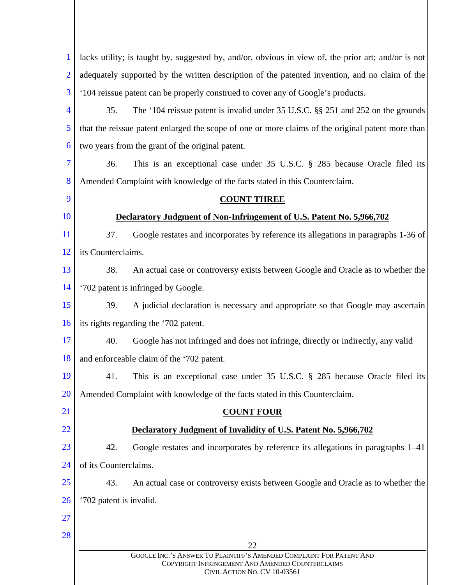| $\mathbf{1}$   | lacks utility; is taught by, suggested by, and/or, obvious in view of, the prior art; and/or is not                                                      |  |  |  |
|----------------|----------------------------------------------------------------------------------------------------------------------------------------------------------|--|--|--|
| $\overline{2}$ | adequately supported by the written description of the patented invention, and no claim of the                                                           |  |  |  |
| 3              | '104 reissue patent can be properly construed to cover any of Google's products.                                                                         |  |  |  |
| $\overline{4}$ | 35.<br>The '104 reissue patent is invalid under 35 U.S.C. §§ 251 and 252 on the grounds                                                                  |  |  |  |
| 5              | that the reissue patent enlarged the scope of one or more claims of the original patent more than                                                        |  |  |  |
| 6              | two years from the grant of the original patent.                                                                                                         |  |  |  |
| 7              | 36.<br>This is an exceptional case under 35 U.S.C. § 285 because Oracle filed its                                                                        |  |  |  |
| 8              | Amended Complaint with knowledge of the facts stated in this Counterclaim.                                                                               |  |  |  |
| 9              | <b>COUNT THREE</b>                                                                                                                                       |  |  |  |
| <b>10</b>      | Declaratory Judgment of Non-Infringement of U.S. Patent No. 5,966,702                                                                                    |  |  |  |
| <sup>11</sup>  | 37.<br>Google restates and incorporates by reference its allegations in paragraphs 1-36 of                                                               |  |  |  |
| 12             | its Counterclaims.                                                                                                                                       |  |  |  |
| 13             | 38.<br>An actual case or controversy exists between Google and Oracle as to whether the                                                                  |  |  |  |
| 14             | '702 patent is infringed by Google.                                                                                                                      |  |  |  |
| 15             | 39.<br>A judicial declaration is necessary and appropriate so that Google may ascertain                                                                  |  |  |  |
| 16             | its rights regarding the '702 patent.                                                                                                                    |  |  |  |
| 17             | 40.<br>Google has not infringed and does not infringe, directly or indirectly, any valid                                                                 |  |  |  |
| 18             | and enforceable claim of the '702 patent.                                                                                                                |  |  |  |
| 19             | This is an exceptional case under 35 U.S.C. § 285 because Oracle filed its<br>41.                                                                        |  |  |  |
| 20             | Amended Complaint with knowledge of the facts stated in this Counterclaim.                                                                               |  |  |  |
| <b>21</b>      | <b>COUNT FOUR</b>                                                                                                                                        |  |  |  |
| 22             | Declaratory Judgment of Invalidity of U.S. Patent No. 5,966,702                                                                                          |  |  |  |
| 23             | 42.<br>Google restates and incorporates by reference its allegations in paragraphs 1–41                                                                  |  |  |  |
| 24             | of its Counterclaims.                                                                                                                                    |  |  |  |
| 25             | 43.<br>An actual case or controversy exists between Google and Oracle as to whether the                                                                  |  |  |  |
| <b>26</b>      | '702 patent is invalid.                                                                                                                                  |  |  |  |
| 27             |                                                                                                                                                          |  |  |  |
| 28             | 22                                                                                                                                                       |  |  |  |
|                | GOOGLE INC.'S ANSWER TO PLAINTIFF'S AMENDED COMPLAINT FOR PATENT AND<br>COPYRIGHT INFRINGEMENT AND AMENDED COUNTERCLAIMS<br>CIVIL ACTION NO. CV 10-03561 |  |  |  |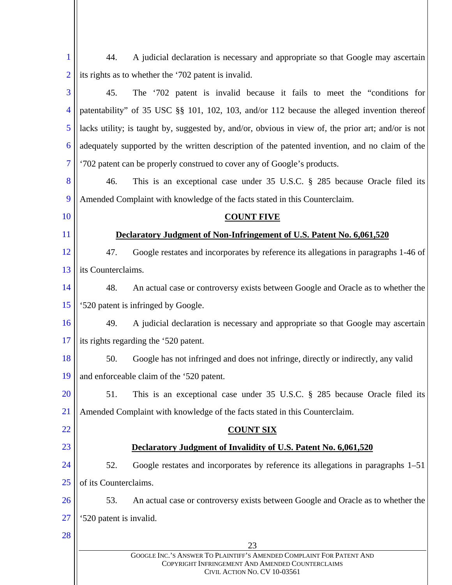| $\mathbf{1}$             | 44.                                       | A judicial declaration is necessary and appropriate so that Google may ascertain                                                                         |
|--------------------------|-------------------------------------------|----------------------------------------------------------------------------------------------------------------------------------------------------------|
| $\overline{2}$           |                                           | its rights as to whether the '702 patent is invalid.                                                                                                     |
| 3                        | 45.                                       | The '702 patent is invalid because it fails to meet the "conditions for                                                                                  |
| $\overline{\mathcal{A}}$ |                                           | patentability" of 35 USC §§ 101, 102, 103, and/or 112 because the alleged invention thereof                                                              |
| 5                        |                                           | lacks utility; is taught by, suggested by, and/or, obvious in view of, the prior art; and/or is not                                                      |
| 6                        |                                           | adequately supported by the written description of the patented invention, and no claim of the                                                           |
| 7                        |                                           | '702 patent can be properly construed to cover any of Google's products.                                                                                 |
| 8                        | 46.                                       | This is an exceptional case under 35 U.S.C. § 285 because Oracle filed its                                                                               |
| 9                        |                                           | Amended Complaint with knowledge of the facts stated in this Counterclaim.                                                                               |
| 10                       |                                           | <b>COUNT FIVE</b>                                                                                                                                        |
| 11                       |                                           | Declaratory Judgment of Non-Infringement of U.S. Patent No. 6,061,520                                                                                    |
| 12                       | 47.                                       | Google restates and incorporates by reference its allegations in paragraphs 1-46 of                                                                      |
| 13                       | its Counterclaims.                        |                                                                                                                                                          |
| 14                       | 48.                                       | An actual case or controversy exists between Google and Oracle as to whether the                                                                         |
| 15                       |                                           | '520 patent is infringed by Google.                                                                                                                      |
| 16                       | 49.                                       | A judicial declaration is necessary and appropriate so that Google may ascertain                                                                         |
| 17                       | its rights regarding the '520 patent.     |                                                                                                                                                          |
| 18                       | 50.                                       | Google has not infringed and does not infringe, directly or indirectly, any valid                                                                        |
| 19                       | and enforceable claim of the '520 patent. |                                                                                                                                                          |
| 20                       | 51.                                       | This is an exceptional case under 35 U.S.C. § 285 because Oracle filed its                                                                               |
| 21                       |                                           | Amended Complaint with knowledge of the facts stated in this Counterclaim.                                                                               |
| 22                       |                                           | <u>COUNT SIX</u>                                                                                                                                         |
| 23                       |                                           | Declaratory Judgment of Invalidity of U.S. Patent No. 6,061,520                                                                                          |
| 24                       | 52.                                       | Google restates and incorporates by reference its allegations in paragraphs 1–51                                                                         |
| 25                       | of its Counterclaims.                     |                                                                                                                                                          |
| 26                       | 53.                                       | An actual case or controversy exists between Google and Oracle as to whether the                                                                         |
| 27                       | '520 patent is invalid.                   |                                                                                                                                                          |
| 28                       |                                           | 23                                                                                                                                                       |
|                          |                                           | GOOGLE INC.'S ANSWER TO PLAINTIFF'S AMENDED COMPLAINT FOR PATENT AND<br>COPYRIGHT INFRINGEMENT AND AMENDED COUNTERCLAIMS<br>CIVIL ACTION NO. CV 10-03561 |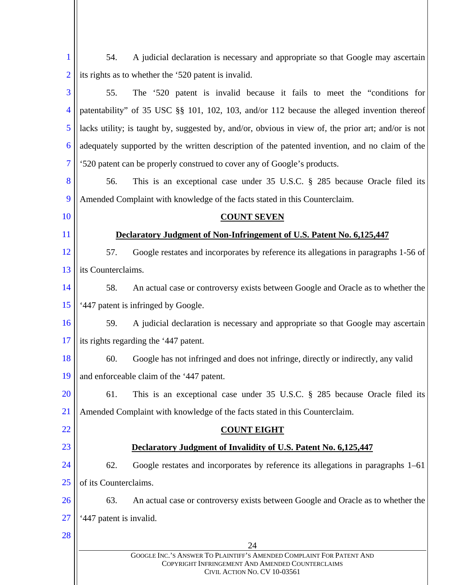| $\mathbf{1}$             | A judicial declaration is necessary and appropriate so that Google may ascertain<br>54.                                                                  |  |
|--------------------------|----------------------------------------------------------------------------------------------------------------------------------------------------------|--|
| $\overline{2}$           | its rights as to whether the '520 patent is invalid.                                                                                                     |  |
| 3                        | The '520 patent is invalid because it fails to meet the "conditions for<br>55.                                                                           |  |
| $\overline{\mathcal{A}}$ | patentability" of 35 USC §§ 101, 102, 103, and/or 112 because the alleged invention thereof                                                              |  |
| 5                        | lacks utility; is taught by, suggested by, and/or, obvious in view of, the prior art; and/or is not                                                      |  |
| 6                        | adequately supported by the written description of the patented invention, and no claim of the                                                           |  |
| $\overline{7}$           | '520 patent can be properly construed to cover any of Google's products.                                                                                 |  |
| 8                        | This is an exceptional case under 35 U.S.C. § 285 because Oracle filed its<br>56.                                                                        |  |
| 9                        | Amended Complaint with knowledge of the facts stated in this Counterclaim.                                                                               |  |
| 10                       | <b>COUNT SEVEN</b>                                                                                                                                       |  |
| 11                       | Declaratory Judgment of Non-Infringement of U.S. Patent No. 6,125,447                                                                                    |  |
| 12                       | Google restates and incorporates by reference its allegations in paragraphs 1-56 of<br>57.                                                               |  |
| 13                       | its Counterclaims.                                                                                                                                       |  |
| 14                       | 58.<br>An actual case or controversy exists between Google and Oracle as to whether the                                                                  |  |
| 15                       | '447 patent is infringed by Google.                                                                                                                      |  |
| 16                       | A judicial declaration is necessary and appropriate so that Google may ascertain<br>59.                                                                  |  |
| 17                       | its rights regarding the '447 patent.                                                                                                                    |  |
| 18                       | 60.<br>Google has not infringed and does not infringe, directly or indirectly, any valid                                                                 |  |
| 19                       | and enforceable claim of the '447 patent.                                                                                                                |  |
| <b>20</b>                | 61.<br>This is an exceptional case under 35 U.S.C. § 285 because Oracle filed its                                                                        |  |
| 21                       | Amended Complaint with knowledge of the facts stated in this Counterclaim.                                                                               |  |
| 22                       | <b>COUNT EIGHT</b>                                                                                                                                       |  |
| 23                       | Declaratory Judgment of Invalidity of U.S. Patent No. 6,125,447                                                                                          |  |
| 24                       | 62.<br>Google restates and incorporates by reference its allegations in paragraphs 1–61                                                                  |  |
| 25                       | of its Counterclaims.                                                                                                                                    |  |
| 26                       | 63.<br>An actual case or controversy exists between Google and Oracle as to whether the                                                                  |  |
| 27                       | '447 patent is invalid.                                                                                                                                  |  |
| 28                       | 24                                                                                                                                                       |  |
|                          | GOOGLE INC.'S ANSWER TO PLAINTIFF'S AMENDED COMPLAINT FOR PATENT AND<br>COPYRIGHT INFRINGEMENT AND AMENDED COUNTERCLAIMS<br>CIVIL ACTION NO. CV 10-03561 |  |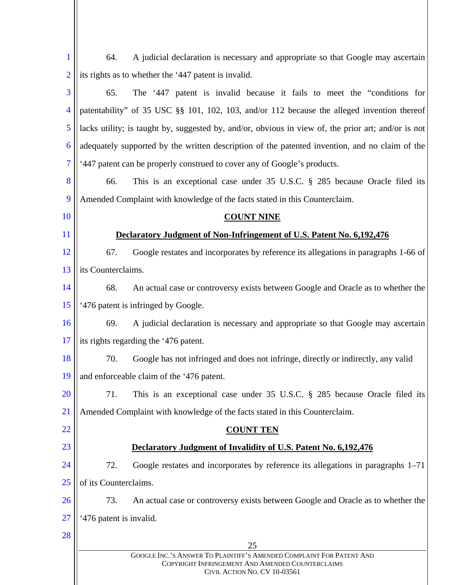| $\bf{l}$       | A judicial declaration is necessary and appropriate so that Google may ascertain<br>64.                                                                  |
|----------------|----------------------------------------------------------------------------------------------------------------------------------------------------------|
| $\overline{2}$ | its rights as to whether the '447 patent is invalid.                                                                                                     |
| 3              | The '447 patent is invalid because it fails to meet the "conditions for<br>65.                                                                           |
| $\overline{4}$ | patentability" of 35 USC §§ 101, 102, 103, and/or 112 because the alleged invention thereof                                                              |
| 5              | lacks utility; is taught by, suggested by, and/or, obvious in view of, the prior art; and/or is not                                                      |
| 6              | adequately supported by the written description of the patented invention, and no claim of the                                                           |
| $\overline{7}$ | '447 patent can be properly construed to cover any of Google's products.                                                                                 |
| 8              | This is an exceptional case under 35 U.S.C. § 285 because Oracle filed its<br>66.                                                                        |
| 9              | Amended Complaint with knowledge of the facts stated in this Counterclaim.                                                                               |
| 10             | <b>COUNT NINE</b>                                                                                                                                        |
| 11             | Declaratory Judgment of Non-Infringement of U.S. Patent No. 6,192,476                                                                                    |
| 12             | 67.<br>Google restates and incorporates by reference its allegations in paragraphs 1-66 of                                                               |
| 13             | its Counterclaims.                                                                                                                                       |
| 14             | 68.<br>An actual case or controversy exists between Google and Oracle as to whether the                                                                  |
| 15             | '476 patent is infringed by Google.                                                                                                                      |
| 16             | A judicial declaration is necessary and appropriate so that Google may ascertain<br>69.                                                                  |
| 17             | its rights regarding the '476 patent.                                                                                                                    |
| 18             | 70.<br>Google has not infringed and does not infringe, directly or indirectly, any valid                                                                 |
| 19             | and enforceable claim of the '476 patent.                                                                                                                |
| 20             | 71.<br>This is an exceptional case under 35 U.S.C. § 285 because Oracle filed its                                                                        |
| 21             | Amended Complaint with knowledge of the facts stated in this Counterclaim.                                                                               |
| 22             | <b>COUNT TEN</b>                                                                                                                                         |
| 23             | Declaratory Judgment of Invalidity of U.S. Patent No. 6,192,476                                                                                          |
| 24             | 72.<br>Google restates and incorporates by reference its allegations in paragraphs 1-71                                                                  |
| 25             | of its Counterclaims.                                                                                                                                    |
| 26             | 73.<br>An actual case or controversy exists between Google and Oracle as to whether the                                                                  |
| 27             | '476 patent is invalid.                                                                                                                                  |
| 28             | 25                                                                                                                                                       |
|                | GOOGLE INC.'S ANSWER TO PLAINTIFF'S AMENDED COMPLAINT FOR PATENT AND<br>COPYRIGHT INFRINGEMENT AND AMENDED COUNTERCLAIMS<br>CIVIL ACTION NO. CV 10-03561 |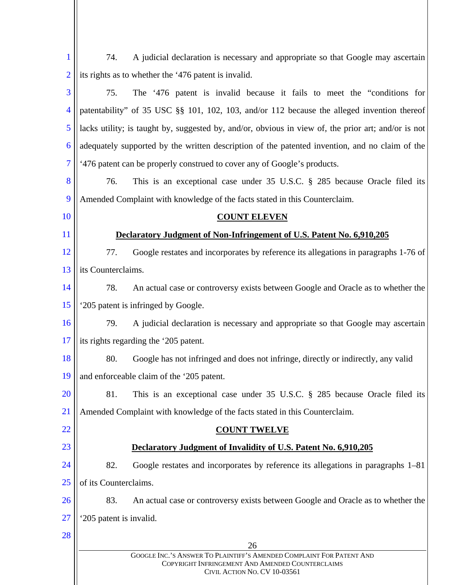| $\mathbf{1}$   | A judicial declaration is necessary and appropriate so that Google may ascertain<br>74.                                  |  |
|----------------|--------------------------------------------------------------------------------------------------------------------------|--|
| $\overline{2}$ | its rights as to whether the '476 patent is invalid.                                                                     |  |
| 3              | The '476 patent is invalid because it fails to meet the "conditions for<br>75.                                           |  |
| $\overline{4}$ | patentability" of 35 USC §§ 101, 102, 103, and/or 112 because the alleged invention thereof                              |  |
| 5              | lacks utility; is taught by, suggested by, and/or, obvious in view of, the prior art; and/or is not                      |  |
| 6              | adequately supported by the written description of the patented invention, and no claim of the                           |  |
| 7              | '476 patent can be properly construed to cover any of Google's products.                                                 |  |
| 8              | This is an exceptional case under 35 U.S.C. § 285 because Oracle filed its<br>76.                                        |  |
| 9              | Amended Complaint with knowledge of the facts stated in this Counterclaim.                                               |  |
| 10             | <b>COUNT ELEVEN</b>                                                                                                      |  |
| 11             | Declaratory Judgment of Non-Infringement of U.S. Patent No. 6,910,205                                                    |  |
| 12             | 77.<br>Google restates and incorporates by reference its allegations in paragraphs 1-76 of                               |  |
| 13             | its Counterclaims.                                                                                                       |  |
| 14             | An actual case or controversy exists between Google and Oracle as to whether the<br>78.                                  |  |
| 15             | '205 patent is infringed by Google.                                                                                      |  |
| 16             | A judicial declaration is necessary and appropriate so that Google may ascertain<br>79.                                  |  |
| 17             | its rights regarding the '205 patent.                                                                                    |  |
| 18             | 80.<br>Google has not infringed and does not infringe, directly or indirectly, any valid                                 |  |
| 19             | and enforceable claim of the '205 patent.                                                                                |  |
| <b>20</b>      | 81.<br>This is an exceptional case under 35 U.S.C. § 285 because Oracle filed its                                        |  |
| 21             | Amended Complaint with knowledge of the facts stated in this Counterclaim.                                               |  |
| 22             | <b>COUNT TWELVE</b>                                                                                                      |  |
| 23             | Declaratory Judgment of Invalidity of U.S. Patent No. 6,910,205                                                          |  |
| 24             | 82.<br>Google restates and incorporates by reference its allegations in paragraphs 1–81                                  |  |
| 25             | of its Counterclaims.                                                                                                    |  |
| 26             | 83.<br>An actual case or controversy exists between Google and Oracle as to whether the                                  |  |
| 27             | '205 patent is invalid.                                                                                                  |  |
| 28             | 26                                                                                                                       |  |
|                | GOOGLE INC.'S ANSWER TO PLAINTIFF'S AMENDED COMPLAINT FOR PATENT AND<br>COPYRIGHT INFRINGEMENT AND AMENDED COUNTERCLAIMS |  |
|                | CIVIL ACTION NO. CV 10-03561                                                                                             |  |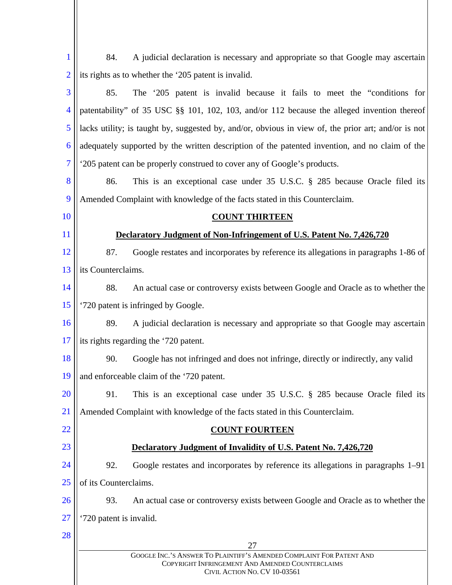| $\mathbf{1}$   | A judicial declaration is necessary and appropriate so that Google may ascertain<br>84.             |  |
|----------------|-----------------------------------------------------------------------------------------------------|--|
| $\overline{2}$ | its rights as to whether the '205 patent is invalid.                                                |  |
| 3              | The '205 patent is invalid because it fails to meet the "conditions for<br>85.                      |  |
| $\overline{4}$ | patentability" of 35 USC §§ 101, 102, 103, and/or 112 because the alleged invention thereof         |  |
| 5              | lacks utility; is taught by, suggested by, and/or, obvious in view of, the prior art; and/or is not |  |
| 6              | adequately supported by the written description of the patented invention, and no claim of the      |  |
| 7              | '205 patent can be properly construed to cover any of Google's products.                            |  |
| 8              | This is an exceptional case under 35 U.S.C. § 285 because Oracle filed its<br>86.                   |  |
| 9              | Amended Complaint with knowledge of the facts stated in this Counterclaim.                          |  |
| 10             | <b>COUNT THIRTEEN</b>                                                                               |  |
| 11             | Declaratory Judgment of Non-Infringement of U.S. Patent No. 7,426,720                               |  |
| 12             | 87.<br>Google restates and incorporates by reference its allegations in paragraphs 1-86 of          |  |
| 13             | its Counterclaims.                                                                                  |  |
| 14             | 88.<br>An actual case or controversy exists between Google and Oracle as to whether the             |  |
| 15             | '720 patent is infringed by Google.                                                                 |  |
| 16             | A judicial declaration is necessary and appropriate so that Google may ascertain<br>89.             |  |
| 17             | its rights regarding the '720 patent.                                                               |  |
| 18             | Google has not infringed and does not infringe, directly or indirectly, any valid<br>90.            |  |
| 19             | and enforceable claim of the '720 patent.                                                           |  |
| <b>20</b>      | 91.<br>This is an exceptional case under 35 U.S.C. § 285 because Oracle filed its                   |  |
| <u>21</u>      | Amended Complaint with knowledge of the facts stated in this Counterclaim.                          |  |
| 22             | <b>COUNT FOURTEEN</b>                                                                               |  |
| 23             | Declaratory Judgment of Invalidity of U.S. Patent No. 7,426,720                                     |  |
| 24             | 92.<br>Google restates and incorporates by reference its allegations in paragraphs 1–91             |  |
| 25             | of its Counterclaims.                                                                               |  |
| 26             | 93.<br>An actual case or controversy exists between Google and Oracle as to whether the             |  |
| <b>27</b>      | '720 patent is invalid.                                                                             |  |
| 28             | 27                                                                                                  |  |
|                | GOOGLE INC.'S ANSWER TO PLAINTIFF'S AMENDED COMPLAINT FOR PATENT AND                                |  |
|                | COPYRIGHT INFRINGEMENT AND AMENDED COUNTERCLAIMS<br>CIVIL ACTION NO. CV 10-03561                    |  |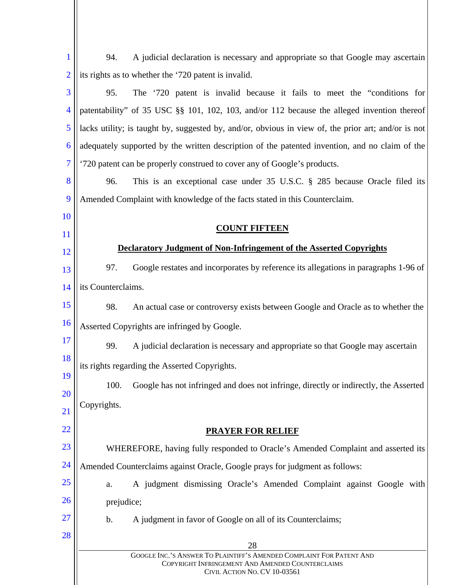| 1              | A judicial declaration is necessary and appropriate so that Google may ascertain<br>94.                                                                  |  |  |
|----------------|----------------------------------------------------------------------------------------------------------------------------------------------------------|--|--|
| $\overline{2}$ | its rights as to whether the '720 patent is invalid.                                                                                                     |  |  |
| 3              | The '720 patent is invalid because it fails to meet the "conditions for<br>95.                                                                           |  |  |
| 4              | patentability" of 35 USC §§ 101, 102, 103, and/or 112 because the alleged invention thereof                                                              |  |  |
| 5              | lacks utility; is taught by, suggested by, and/or, obvious in view of, the prior art; and/or is not                                                      |  |  |
| 6              | adequately supported by the written description of the patented invention, and no claim of the                                                           |  |  |
| $\overline{7}$ | '720 patent can be properly construed to cover any of Google's products.                                                                                 |  |  |
| 8              | This is an exceptional case under 35 U.S.C. § 285 because Oracle filed its<br>96.                                                                        |  |  |
| 9              | Amended Complaint with knowledge of the facts stated in this Counterclaim.                                                                               |  |  |
| <b>10</b>      |                                                                                                                                                          |  |  |
| <sup>11</sup>  | <b>COUNT FIFTEEN</b>                                                                                                                                     |  |  |
| 12             | Declaratory Judgment of Non-Infringement of the Asserted Copyrights                                                                                      |  |  |
| 13             | Google restates and incorporates by reference its allegations in paragraphs 1-96 of<br>97.                                                               |  |  |
| 14             | its Counterclaims.                                                                                                                                       |  |  |
| 15             | 98.<br>An actual case or controversy exists between Google and Oracle as to whether the                                                                  |  |  |
| 16             | Asserted Copyrights are infringed by Google.                                                                                                             |  |  |
| 17             | A judicial declaration is necessary and appropriate so that Google may ascertain<br>99.                                                                  |  |  |
| 18             | its rights regarding the Asserted Copyrights.                                                                                                            |  |  |
| 19<br>20       | 100.<br>Google has not infringed and does not infringe, directly or indirectly, the Asserted                                                             |  |  |
| 21             | Copyrights.                                                                                                                                              |  |  |
| <u>22</u>      | <b>PRAYER FOR RELIEF</b>                                                                                                                                 |  |  |
| 23             | WHEREFORE, having fully responded to Oracle's Amended Complaint and asserted its                                                                         |  |  |
| 24             | Amended Counterclaims against Oracle, Google prays for judgment as follows:                                                                              |  |  |
| 25             | A judgment dismissing Oracle's Amended Complaint against Google with<br>a.                                                                               |  |  |
| 26             | prejudice;                                                                                                                                               |  |  |
| 27             | b.<br>A judgment in favor of Google on all of its Counterclaims;                                                                                         |  |  |
| 28             |                                                                                                                                                          |  |  |
|                | 28                                                                                                                                                       |  |  |
|                | GOOGLE INC.'S ANSWER TO PLAINTIFF'S AMENDED COMPLAINT FOR PATENT AND<br>COPYRIGHT INFRINGEMENT AND AMENDED COUNTERCLAIMS<br>CIVIL ACTION NO. CV 10-03561 |  |  |

 $\mathbf{\mathsf{I}}$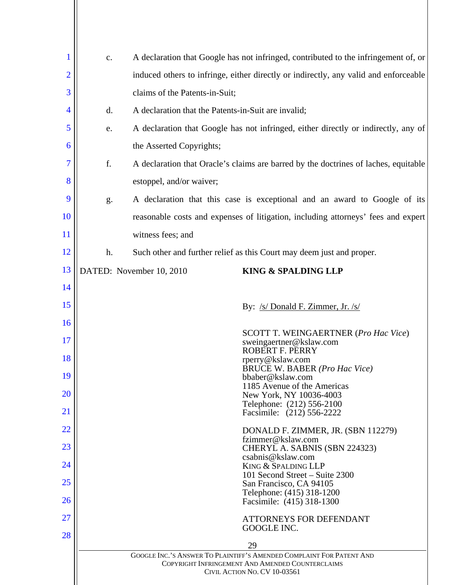| 1              | c.             | A declaration that Google has not infringed, contributed to the infringement of, or                                                                      |
|----------------|----------------|----------------------------------------------------------------------------------------------------------------------------------------------------------|
| $\overline{2}$ |                | induced others to infringe, either directly or indirectly, any valid and enforceable                                                                     |
| 3              |                | claims of the Patents-in-Suit;                                                                                                                           |
| 4              | $\mathbf{d}$ . | A declaration that the Patents-in-Suit are invalid;                                                                                                      |
| 5              | e.             | A declaration that Google has not infringed, either directly or indirectly, any of                                                                       |
| 6              |                | the Asserted Copyrights;                                                                                                                                 |
| 7              | f.             | A declaration that Oracle's claims are barred by the doctrines of laches, equitable                                                                      |
| 8              |                | estoppel, and/or waiver;                                                                                                                                 |
| 9              | g.             | A declaration that this case is exceptional and an award to Google of its                                                                                |
| <b>10</b>      |                | reasonable costs and expenses of litigation, including attorneys' fees and expert                                                                        |
| 11             |                | witness fees; and                                                                                                                                        |
| 12             | h.             | Such other and further relief as this Court may deem just and proper.                                                                                    |
| 13             |                | DATED: November 10, 2010<br><b>KING &amp; SPALDING LLP</b>                                                                                               |
| 14             |                |                                                                                                                                                          |
| 15             |                | By: /s/ Donald F. Zimmer, Jr. /s/                                                                                                                        |
| 16             |                | SCOTT T. WEINGAERTNER (Pro Hac Vice)                                                                                                                     |
| 17             |                | sweingaertner@kslaw.com<br><b>ROBERT F. PERRY</b>                                                                                                        |
| 18             |                | rperry@kslaw.com<br><b>BRUCE W. BABER (Pro Hac Vice)</b>                                                                                                 |
| 19             |                | bbaber@kslaw.com<br>1185 Avenue of the Americas                                                                                                          |
| <b>20</b>      |                | New York, NY 10036-4003<br>Telephone: (212) 556-2100                                                                                                     |
| <u>21</u>      |                | Facsimile: (212) 556-2222                                                                                                                                |
| 22             |                | DONALD F. ZIMMER, JR. (SBN 112279)<br>fzimmer@kslaw.com                                                                                                  |
| 23             |                | CHERYL A. SABNIS (SBN 224323)<br>csabnis@kslaw.com                                                                                                       |
| 24             |                | KING & SPALDING LLP<br>101 Second Street – Suite 2300                                                                                                    |
| 25             |                | San Francisco, CA 94105<br>Telephone: (415) 318-1200                                                                                                     |
| 26             |                | Facsimile: (415) 318-1300                                                                                                                                |
| 27<br>28       |                | ATTORNEYS FOR DEFENDANT<br>GOOGLE INC.                                                                                                                   |
|                |                | 29                                                                                                                                                       |
|                |                | GOOGLE INC.'S ANSWER TO PLAINTIFF'S AMENDED COMPLAINT FOR PATENT AND<br>COPYRIGHT INFRINGEMENT AND AMENDED COUNTERCLAIMS<br>CIVIL ACTION NO. CV 10-03561 |
|                |                |                                                                                                                                                          |